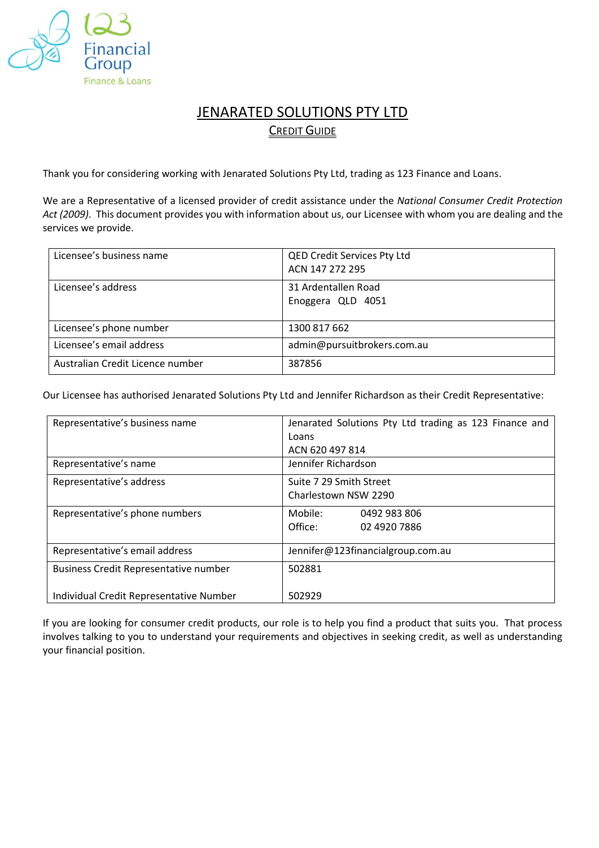

# **JENARATED SOLUTIONS PTY LTD CREDIT GUIDE**

Thank you for considering working with Jenarated Solutions Pty Ltd, trading as 123 Finance and Loans.

We are a Representative of a licensed provider of credit assistance under the *National Consumer Credit Protection Act (2009)*. This document provides you with information about us, our Licensee with whom you are dealing and the services we provide.

| Licensee's business name         | <b>QED Credit Services Pty Ltd</b> |
|----------------------------------|------------------------------------|
|                                  | ACN 147 272 295                    |
| Licensee's address               | 31 Ardentallen Road                |
|                                  | Enoggera QLD 4051                  |
|                                  |                                    |
| Licensee's phone number          | 1300 817 662                       |
| Licensee's email address         | admin@pursuitbrokers.com.au        |
| Australian Credit Licence number | 387856                             |

Our Licensee has authorised Jenarated Solutions Pty Ltd and Jennifer Richardson as their Credit Representative:

| Representative's business name               | Jenarated Solutions Pty Ltd trading as 123 Finance and |
|----------------------------------------------|--------------------------------------------------------|
|                                              | Loans                                                  |
|                                              | ACN 620 497 814                                        |
| Representative's name                        | Jennifer Richardson                                    |
| Representative's address                     | Suite 7 29 Smith Street                                |
|                                              | Charlestown NSW 2290                                   |
| Representative's phone numbers               | Mobile:<br>0492 983 806                                |
|                                              | Office:<br>02 4920 7886                                |
| Representative's email address               | Jennifer@123financialgroup.com.au                      |
|                                              |                                                        |
| <b>Business Credit Representative number</b> | 502881                                                 |
| Individual Credit Representative Number      | 502929                                                 |

If you are looking for consumer credit products, our role is to help you find a product that suits you. That process involves talking to you to understand your requirements and objectives in seeking credit, as well as understanding your financial position.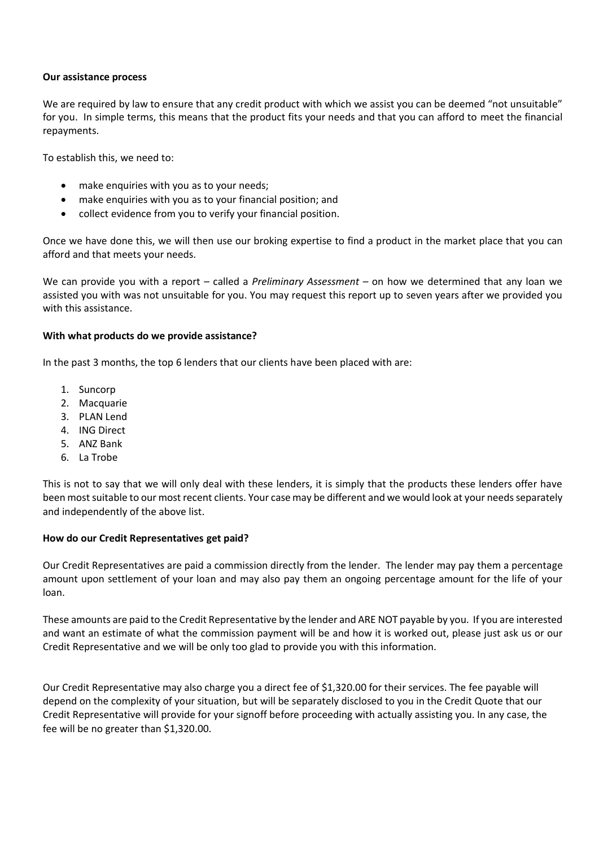# **Our assistance process**

We are required by law to ensure that any credit product with which we assist you can be deemed "not unsuitable" for you. In simple terms, this means that the product fits your needs and that you can afford to meet the financial repayments.

To establish this, we need to:

- make enquiries with you as to your needs;
- make enquiries with you as to your financial position; and
- collect evidence from you to verify your financial position.

Once we have done this, we will then use our broking expertise to find a product in the market place that you can afford and that meets your needs.

We can provide you with a report – called a *Preliminary Assessment* – on how we determined that any loan we assisted you with was not unsuitable for you. You may request this report up to seven years after we provided you with this assistance.

## **With what products do we provide assistance?**

In the past 3 months, the top 6 lenders that our clients have been placed with are:

- 1. Suncorp
- 2. Macquarie
- 3. PLAN Lend
- 4. ING Direct
- 5. ANZ Bank
- 6. La Trobe

This is not to say that we will only deal with these lenders, it is simply that the products these lenders offer have been most suitable to our most recent clients. Your case may be different and we would look at your needs separately and independently of the above list.

# **How do our Credit Representatives get paid?**

Our Credit Representatives are paid a commission directly from the lender. The lender may pay them a percentage amount upon settlement of your loan and may also pay them an ongoing percentage amount for the life of your loan.

These amounts are paid to the Credit Representative by the lender and ARE NOT payable by you. If you are interested and want an estimate of what the commission payment will be and how it is worked out, please just ask us or our Credit Representative and we will be only too glad to provide you with this information.

Our Credit Representative may also charge you a direct fee of \$1,320.00 for their services. The fee payable will depend on the complexity of your situation, but will be separately disclosed to you in the Credit Quote that our Credit Representative will provide for your signoff before proceeding with actually assisting you. In any case, the fee will be no greater than \$1,320.00.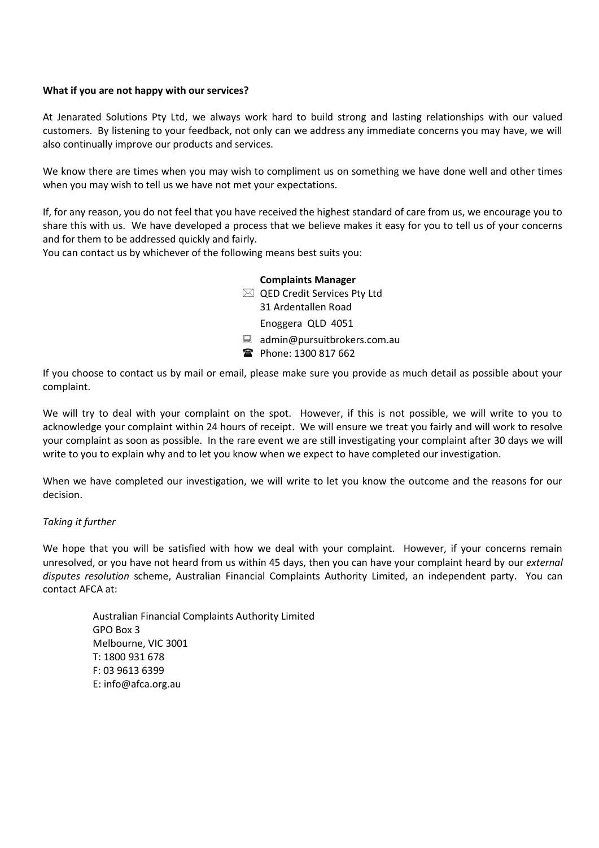# **What if you are not happy with our services?**

At Jenarated Solutions Pty Ltd, we always work hard to build strong and lasting relationships with our valued customers. By listening to your feedback, not only can we address any immediate concerns you may have, we will also continually improve our products and services.

We know there are times when you may wish to compliment us on something we have done well and other times when you may wish to tell us we have not met your expectations.

If, for any reason, you do not feel that you have received the highest standard of care from us, we encourage you to share this with us. We have developed a process that we believe makes it easy for you to tell us of your concerns and for them to be addressed quickly and fairly.

You can contact us by whichever of the following means best suits you:

# **Complaints Manager**

QED Credit Services Pty Ltd

31 Ardentallen Road

Enoggera QLD 4051

- admin@pursuitbrokers.com.au
- Phone: 1300 817 662

If you choose to contact us by mail or email, please make sure you provide as much detail as possible about your complaint.

We will try to deal with your complaint on the spot. However, if this is not possible, we will write to you to acknowledge your complaint within 24 hours of receipt. We will ensure we treat you fairly and will work to resolve your complaint as soon as possible. In the rare event we are still investigating your complaint after 30 days we will write to you to explain why and to let you know when we expect to have completed our investigation.

When we have completed our investigation, we will write to let you know the outcome and the reasons for our decision.

# *Taking it further*

We hope that you will be satisfied with how we deal with your complaint. However, if your concerns remain unresolved, or you have not heard from us within 45 days, then you can have your complaint heard by our *external disputes resolution* scheme, Australian Financial Complaints Authority Limited, an independent party. You can contact AFCA at:

Australian Financial Complaints Authority Limited GPO Box 3 Melbourne, VIC 3001 T: 1800 931 678 F: 03 9613 6399 E: info@afca.org.au